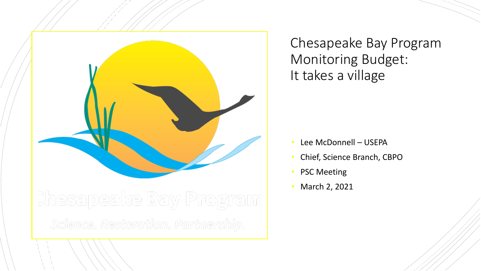

Chesapeake Bay Program Monitoring Budget: It takes a village

- Lee McDonnell USEPA
- Chief, Science Branch, CBPO
- PSC Meeting
- March 2, 2021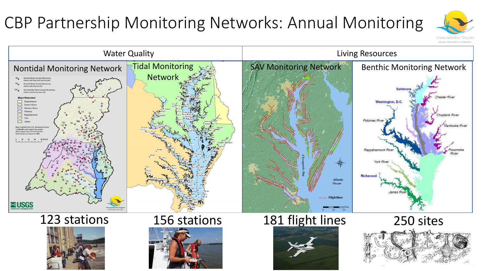# CBP Partnership Monitoring Networks: Annual Monitoring



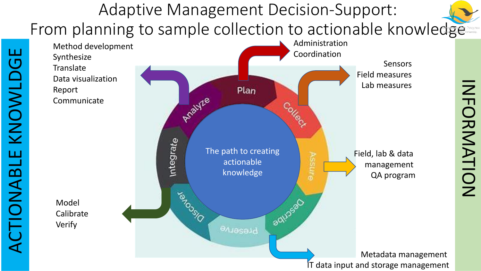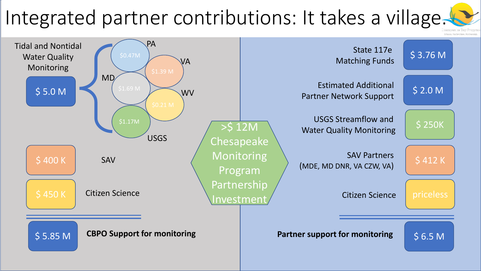# Integrated partner contributions: It takes a village.

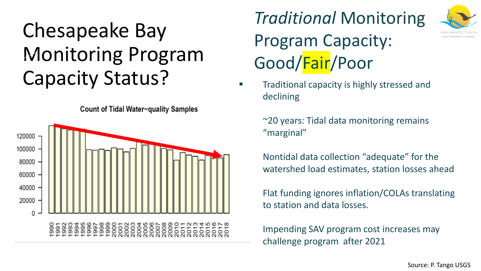# Chesapeake Bay Monitoring Program Capacity Status? **• Traditional capacity is highly stressed and**

120000 100000 80000 60000 40000 20000 6688888888888888885555555

Count of Tidal Water-quality Samples

*Traditional* Monitoring Program Capacity: Good/Fair/Poor

declining

 $\approx$  20 years: Tidal data monitoring remains "marginal"

Nontidal data collection "adequate" for the watershed load estimates, station losses ahead

Flat funding ignores inflation/COLAs translating to station and data losses.

Impending SAV program cost increases may challenge program after 2021